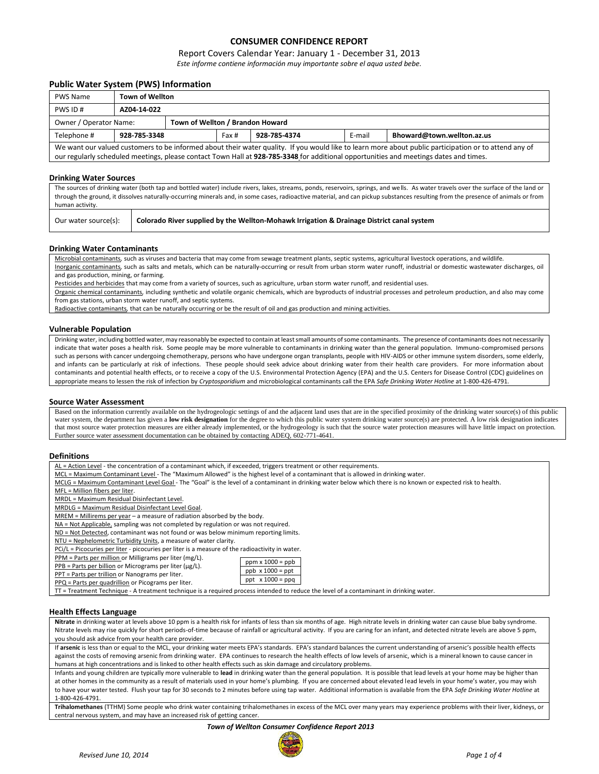# **CONSUMER CONFIDENCE REPORT**

## Report Covers Calendar Year: January 1 - December 31, 2013

*Este informe contiene información muy importante sobre el aqua usted bebe.*

### **Public Water System (PWS) Information**

| <b>PWS Name</b>                                                                                                                                       | <b>Town of Wellton</b>                                                                                                                |  |  |  |  |  |  |  |  |
|-------------------------------------------------------------------------------------------------------------------------------------------------------|---------------------------------------------------------------------------------------------------------------------------------------|--|--|--|--|--|--|--|--|
| PWS ID#                                                                                                                                               | AZ04-14-022                                                                                                                           |  |  |  |  |  |  |  |  |
|                                                                                                                                                       | Town of Wellton / Brandon Howard<br>Owner / Operator Name:                                                                            |  |  |  |  |  |  |  |  |
| Telephone #                                                                                                                                           | E-mail<br>Bhoward@town.wellton.az.us<br>928-785-3348<br>928-785-4374<br>Fax #                                                         |  |  |  |  |  |  |  |  |
| We want our valued customers to be informed about their water quality. If you would like to learn more about public participation or to attend any of |                                                                                                                                       |  |  |  |  |  |  |  |  |
|                                                                                                                                                       | our regularly scheduled meetings, please contact Town Hall at 928-785-3348 for additional opportunities and meetings dates and times. |  |  |  |  |  |  |  |  |

#### **Drinking Water Sources**

The sources of drinking water (both tap and bottled water) include rivers, lakes, streams, ponds, reservoirs, springs, and wells. As water travels over the surface of the land or through the ground, it dissolves naturally-occurring minerals and, in some cases, radioactive material, and can pickup substances resulting from the presence of animals or from human activity.

| Our water source(s): | Colorado River supplied by the Wellton-Mohawk Irrigation & Drainage District canal system |
|----------------------|-------------------------------------------------------------------------------------------|
|----------------------|-------------------------------------------------------------------------------------------|

#### **Drinking Water Contaminants**

Microbial contaminants*,* such as viruses and bacteria that may come from sewage treatment plants, septic systems, agricultural livestock operations, and wildlife*.* Inorganic contaminants*,* such as salts and metals, which can be naturally-occurring or result from urban storm water runoff, industrial or domestic wastewater discharges, oil and gas production, mining, or farming.

Pesticides and herbicides that may come from a variety of sources, such as agriculture, urban storm water runoff, and residential uses.

Organic chemical contaminants*,* including synthetic and volatile organic chemicals, which are byproducts of industrial processes and petroleum production, and also may come from gas stations, urban storm water runoff, and septic systems.

Radioactive contaminants*,* that can be naturally occurring or be the result of oil and gas production and mining activities.

#### **Vulnerable Population**

Drinking water, including bottled water, may reasonably be expected to contain at least small amounts of some contaminants. The presence of contaminants does not necessarily indicate that water poses a health risk. Some people may be more vulnerable to contaminants in drinking water than the general population. Immuno-compromised persons such as persons with cancer undergoing chemotherapy, persons who have undergone organ transplants, people with HIV-AIDS or other immune system disorders, some elderly, and infants can be particularly at risk of infections. These people should seek advice about drinking water from their health care providers. For more information about contaminants and potential health effects, or to receive a copy of the U.S. Environmental Protection Agency (EPA) and the U.S. Centers for Disease Control (CDC) guidelines on appropriate means to lessen the risk of infection by *Cryptosporidium* and microbiological contaminants call the EPA *Safe Drinking Water Hotline* at 1-800-426-4791.

#### **Source Water Assessment**

Based on the information currently available on the hydrogeologic settings of and the adjacent land uses that are in the specified proximity of the drinking water source(s) of this public water system, the department has given a low risk designation for the degree to which this public water system drinking water source(s) are protected. A low risk designation indicates that most source water protection measures are either already implemented, or the hydrogeology is such that the source water protection measures will have little impact on protection. Further source water assessment documentation can be obtained by contacting ADEQ, 602-771-4641.

#### **Definitions**

AL = Action Level - the concentration of a contaminant which, if exceeded, triggers treatment or other requirements.

- MCL = Maximum Contaminant Level The "Maximum Allowed" is the highest level of a contaminant that is allowed in drinking water.
- MCLG = Maximum Contaminant Level Goal The "Goal" is the level of a contaminant in drinking water below which there is no known or expected risk to health.

 $ppm x 1000 = p$  $ppb \times 1000 = ppt$ ppt x 1000 = ppq

MFL = Million fibers per liter.

MRDL = Maximum Residual Disinfectant Level.

MRDLG = Maximum Residual Disinfectant Level Goal.

MREM = Millirems per year - a measure of radiation absorbed by the body.

NA = Not Applicable, sampling was not completed by regulation or was not required.

ND = Not Detected, contaminant was not found or was below minimum reporting limits.

NTU = Nephelometric Turbidity Units, a measure of water clarity.

PCi/L = Picocuries per liter - picocuries per liter is a measure of the radioactivity in water.

PPM = Parts per million or Milligrams per liter (mg/L).

| $PPB$ = Parts per billion or Micrograms per liter ( $\mu$ g/L). |  |  |
|-----------------------------------------------------------------|--|--|

|  |  |  |  | r r b – r ai ts per billion or ivilerograms per liter (p. |  |  |
|--|--|--|--|-----------------------------------------------------------|--|--|
|  |  |  |  | DDT - Parts nor trillion or Nanograms nor liter           |  |  |

|  |  | PPT = Parts per trillion or Nanograms per liter.                                                                                                                                                                                                                                                                                                                 |  |
|--|--|------------------------------------------------------------------------------------------------------------------------------------------------------------------------------------------------------------------------------------------------------------------------------------------------------------------------------------------------------------------|--|
|  |  | $\mathbf{p} \cdot \mathbf{p}$ , and $\mathbf{p} \cdot \mathbf{p}$ , and $\mathbf{p} \cdot \mathbf{p}$ , and $\mathbf{p} \cdot \mathbf{p}$ , and $\mathbf{p} \cdot \mathbf{p}$ , and $\mathbf{p} \cdot \mathbf{p}$ , and $\mathbf{p} \cdot \mathbf{p}$ , and $\mathbf{p} \cdot \mathbf{p}$ , and $\mathbf{p} \cdot \mathbf{p}$ , and $\mathbf{p} \cdot \mathbf{p$ |  |

PPQ = Parts per quadrillion or Picograms per liter.

TT = Treatment Technique - A treatment technique is a required process intended to reduce the level of a contaminant in drinking water.

## **Health Effects Language**

**Nitrate** in drinking water at levels above 10 ppm is a health risk for infants of less than six months of age. High nitrate levels in drinking water can cause blue baby syndrome. Nitrate levels may rise quickly for short periods-of-time because of rainfall or agricultural activity. If you are caring for an infant, and detected nitrate levels are above 5 ppm, you should ask advice from your health care provider.

If arsenic is less than or equal to the MCL, your drinking water meets EPA's standards. EPA's standard balances the current understanding of arsenic's possible health effects against the costs of removing arsenic from drinking water. EPA continues to research the health effects of low levels of arsenic, which is a mineral known to cause cancer in humans at high concentrations and is linked to other health effects such as skin damage and circulatory problems.

Infants and young children are typically more vulnerable to **lead** in drinking water than the general population. It is possible that lead levels at your home may be higher than at other homes in the community as a result of materials used in your home's plumbing. If you are concerned about elevated lead levels in your home's water, you may wish to have your water tested. Flush your tap for 30 seconds to 2 minutes before using tap water. Additional information is available from the EPA *Safe Drinking Water Hotline* at 1-800-426-4791.

**Trihalomethanes** (TTHM) Some people who drink water containing trihalomethanes in excess of the MCL over many years may experience problems with their liver, kidneys, or central nervous system, and may have an increased risk of getting cancer.

*Town of Wellton Consumer Confidence Report 2013*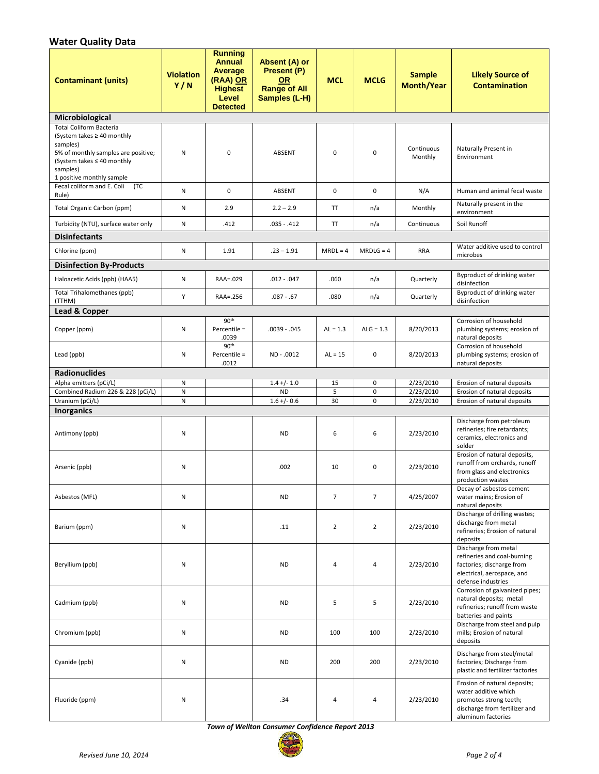# **Water Quality Data**

| <b>Contaminant (units)</b>                                                                                                                                                                  | <b>Violation</b><br>Y/N | <b>Running</b><br><b>Annual</b><br>Average<br>(RAA) OR<br><b>Highest</b><br>Level<br><b>Detected</b> | Absent (A) or<br>Present (P)<br><b>OR</b><br><b>Range of All</b><br>Samples (L-H) | <b>MCL</b>     | <b>MCLG</b>      | <b>Sample</b><br><b>Month/Year</b> | <b>Likely Source of</b><br><b>Contamination</b>                                                                                       |
|---------------------------------------------------------------------------------------------------------------------------------------------------------------------------------------------|-------------------------|------------------------------------------------------------------------------------------------------|-----------------------------------------------------------------------------------|----------------|------------------|------------------------------------|---------------------------------------------------------------------------------------------------------------------------------------|
| Microbiological                                                                                                                                                                             |                         |                                                                                                      |                                                                                   |                |                  |                                    |                                                                                                                                       |
| <b>Total Coliform Bacteria</b><br>(System takes $\geq 40$ monthly<br>samples)<br>5% of monthly samples are positive;<br>(System takes ≤ 40 monthly<br>samples)<br>1 positive monthly sample | Ν                       | $\mathbf 0$                                                                                          | <b>ABSENT</b>                                                                     | $\mathbf 0$    | $\mathbf 0$      | Continuous<br>Monthly              | Naturally Present in<br>Environment                                                                                                   |
| Fecal coliform and E. Coli<br>(TC                                                                                                                                                           | Ν                       | 0                                                                                                    | <b>ABSENT</b>                                                                     | $\mathbf 0$    | $\mathbf 0$      | N/A                                | Human and animal fecal waste                                                                                                          |
| Rule)<br>Total Organic Carbon (ppm)                                                                                                                                                         | Ν                       | 2.9                                                                                                  | $2.2 - 2.9$                                                                       | TT             | n/a              | Monthly                            | Naturally present in the<br>environment                                                                                               |
| Turbidity (NTU), surface water only                                                                                                                                                         | N                       | .412                                                                                                 | $.035 - .412$                                                                     | TT             | n/a              | Continuous                         | Soil Runoff                                                                                                                           |
| <b>Disinfectants</b>                                                                                                                                                                        |                         |                                                                                                      |                                                                                   |                |                  |                                    |                                                                                                                                       |
| Chlorine (ppm)                                                                                                                                                                              | Ν                       | 1.91                                                                                                 | $.23 - 1.91$                                                                      | $MRDL = 4$     | $MRDLG = 4$      | <b>RRA</b>                         | Water additive used to control<br>microbes                                                                                            |
| <b>Disinfection By-Products</b>                                                                                                                                                             |                         |                                                                                                      |                                                                                   |                |                  |                                    |                                                                                                                                       |
| Haloacetic Acids (ppb) (HAA5)                                                                                                                                                               | Ν                       | RAA=.029                                                                                             | $.012 - .047$                                                                     | .060           | n/a              | Quarterly                          | Byproduct of drinking water<br>disinfection                                                                                           |
| Total Trihalomethanes (ppb)<br>(TTHM)                                                                                                                                                       | Y                       | RAA=.256                                                                                             | $.087 - .67$                                                                      | .080           | n/a              | Quarterly                          | <b>Byproduct of drinking water</b><br>disinfection                                                                                    |
| <b>Lead &amp; Copper</b>                                                                                                                                                                    |                         |                                                                                                      |                                                                                   |                |                  |                                    |                                                                                                                                       |
| Copper (ppm)                                                                                                                                                                                | Ν                       | 90 <sup>th</sup><br>Percentile =<br>.0039                                                            | $.0039-.045$                                                                      | $AL = 1.3$     | $ALG = 1.3$      | 8/20/2013                          | Corrosion of household<br>plumbing systems; erosion of<br>natural deposits                                                            |
| Lead (ppb)                                                                                                                                                                                  | Ν                       | 90 <sup>th</sup><br>Percentile =<br>.0012                                                            | ND - .0012                                                                        | $AL = 15$      | $\mathbf 0$      | 8/20/2013                          | Corrosion of household<br>plumbing systems; erosion of<br>natural deposits                                                            |
| <b>Radionuclides</b>                                                                                                                                                                        |                         |                                                                                                      |                                                                                   |                |                  |                                    |                                                                                                                                       |
| Alpha emitters (pCi/L)                                                                                                                                                                      | Ν                       |                                                                                                      | $1.4 + (-1.0)$                                                                    | 15             | 0                | 2/23/2010                          | Erosion of natural deposits                                                                                                           |
| Combined Radium 226 & 228 (pCi/L)<br>Uranium (pCi/L)                                                                                                                                        | N<br>N                  |                                                                                                      | <b>ND</b><br>$1.6 +/- 0.6$                                                        | 5<br>30        | 0<br>$\mathbf 0$ | 2/23/2010<br>2/23/2010             | Erosion of natural deposits<br>Erosion of natural deposits                                                                            |
| <b>Inorganics</b>                                                                                                                                                                           |                         |                                                                                                      |                                                                                   |                |                  |                                    |                                                                                                                                       |
| Antimony (ppb)                                                                                                                                                                              | Ν                       |                                                                                                      | <b>ND</b>                                                                         | 6              | 6                | 2/23/2010                          | Discharge from petroleum<br>refineries; fire retardants;<br>ceramics, electronics and<br>solder                                       |
| Arsenic (ppb)                                                                                                                                                                               | Ν                       |                                                                                                      | .002                                                                              | 10             | 0                | 2/23/2010                          | Erosion of natural deposits,<br>runoff from orchards, runoff<br>from glass and electronics<br>production wastes                       |
| Asbestos (MFL)                                                                                                                                                                              | Ν                       |                                                                                                      | <b>ND</b>                                                                         | $\overline{7}$ | $\overline{7}$   | 4/25/2007                          | Decay of asbestos cement<br>water mains; Erosion of<br>natural deposits                                                               |
| Barium (ppm)                                                                                                                                                                                | Ν                       |                                                                                                      | .11                                                                               | $\overline{2}$ | $\overline{2}$   | 2/23/2010                          | Discharge of drilling wastes;<br>discharge from metal<br>refineries; Erosion of natural<br>deposits                                   |
| Beryllium (ppb)                                                                                                                                                                             | Ν                       |                                                                                                      | <b>ND</b>                                                                         | 4              | 4                | 2/23/2010                          | Discharge from metal<br>refineries and coal-burning<br>factories; discharge from<br>electrical, aerospace, and<br>defense industries  |
| Cadmium (ppb)                                                                                                                                                                               | Ν                       |                                                                                                      | <b>ND</b>                                                                         | 5              | 5                | 2/23/2010                          | Corrosion of galvanized pipes;<br>natural deposits; metal<br>refineries; runoff from waste<br>batteries and paints                    |
| Chromium (ppb)                                                                                                                                                                              | Ν                       |                                                                                                      | <b>ND</b>                                                                         | 100            | 100              | 2/23/2010                          | Discharge from steel and pulp<br>mills; Erosion of natural<br>deposits                                                                |
| Cyanide (ppb)                                                                                                                                                                               | Ν                       |                                                                                                      | <b>ND</b>                                                                         | 200            | 200              | 2/23/2010                          | Discharge from steel/metal<br>factories; Discharge from<br>plastic and fertilizer factories                                           |
| Fluoride (ppm)                                                                                                                                                                              | Ν                       |                                                                                                      | .34                                                                               | 4              | 4                | 2/23/2010                          | Erosion of natural deposits;<br>water additive which<br>promotes strong teeth;<br>discharge from fertilizer and<br>aluminum factories |

*Town of Wellton Consumer Confidence Report 2013*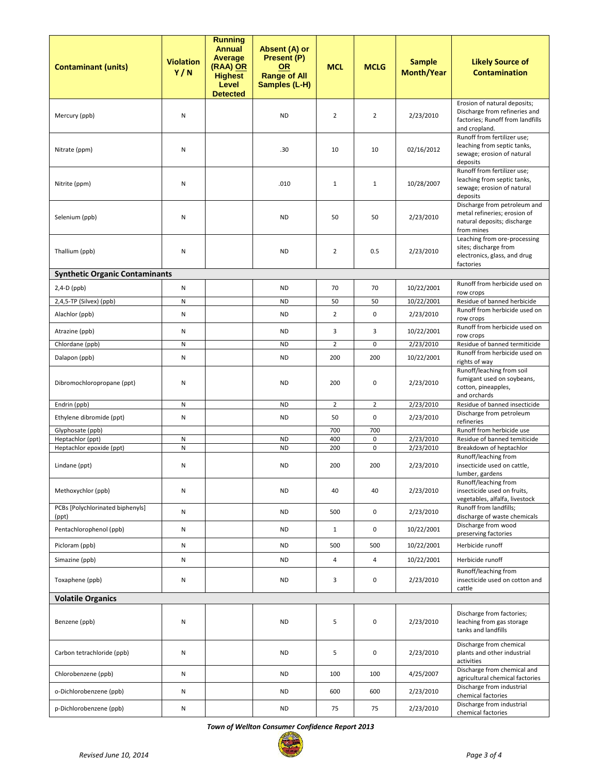| <b>Contaminant (units)</b>                   | <b>Violation</b><br>Y/N | <b>Running</b><br><b>Annual</b><br>Average<br>(RAA) OR<br><b>Highest</b><br>Level<br><b>Detected</b> | Absent (A) or<br>Present (P)<br><b>OR</b><br><b>Range of All</b><br>Samples (L-H) | <b>MCL</b>     | <b>MCLG</b>      | <b>Sample</b><br><b>Month/Year</b> | <b>Likely Source of</b><br><b>Contamination</b>                                                                    |
|----------------------------------------------|-------------------------|------------------------------------------------------------------------------------------------------|-----------------------------------------------------------------------------------|----------------|------------------|------------------------------------|--------------------------------------------------------------------------------------------------------------------|
| Mercury (ppb)                                | Ν                       |                                                                                                      | <b>ND</b>                                                                         | $\overline{2}$ | $\overline{2}$   | 2/23/2010                          | Erosion of natural deposits;<br>Discharge from refineries and<br>factories; Runoff from landfills<br>and cropland. |
| Nitrate (ppm)                                | Ν                       |                                                                                                      | .30                                                                               | 10             | 10               | 02/16/2012                         | Runoff from fertilizer use;<br>leaching from septic tanks,<br>sewage; erosion of natural<br>deposits               |
| Nitrite (ppm)                                | Ν                       |                                                                                                      | .010                                                                              | $\mathbf{1}$   | $\mathbf{1}$     | 10/28/2007                         | Runoff from fertilizer use;<br>leaching from septic tanks,<br>sewage; erosion of natural<br>deposits               |
| Selenium (ppb)                               | Ν                       |                                                                                                      | <b>ND</b>                                                                         | 50             | 50               | 2/23/2010                          | Discharge from petroleum and<br>metal refineries; erosion of<br>natural deposits; discharge<br>from mines          |
| Thallium (ppb)                               | Ν                       |                                                                                                      | <b>ND</b>                                                                         | $\overline{2}$ | 0.5              | 2/23/2010                          | Leaching from ore-processing<br>sites; discharge from<br>electronics, glass, and drug<br>factories                 |
| <b>Synthetic Organic Contaminants</b>        |                         |                                                                                                      |                                                                                   |                |                  |                                    |                                                                                                                    |
| $2,4-D$ (ppb)                                | N                       |                                                                                                      | <b>ND</b>                                                                         | 70             | 70               | 10/22/2001                         | Runoff from herbicide used on<br>row crops                                                                         |
| 2,4,5-TP (Silvex) (ppb)                      | N                       |                                                                                                      | <b>ND</b>                                                                         | 50             | 50               | 10/22/2001                         | Residue of banned herbicide                                                                                        |
| Alachlor (ppb)                               | Ν                       |                                                                                                      | <b>ND</b>                                                                         | $\overline{2}$ | 0                | 2/23/2010                          | Runoff from herbicide used on<br>row crops                                                                         |
| Atrazine (ppb)                               | Ν                       |                                                                                                      | <b>ND</b>                                                                         | 3              | 3                | 10/22/2001                         | Runoff from herbicide used on<br>row crops                                                                         |
| Chlordane (ppb)                              | N                       |                                                                                                      | <b>ND</b>                                                                         | $\overline{2}$ | 0                | 2/23/2010                          | Residue of banned termiticide                                                                                      |
| Dalapon (ppb)                                | Ν                       |                                                                                                      | <b>ND</b>                                                                         | 200            | 200              | 10/22/2001                         | Runoff from herbicide used on<br>rights of way                                                                     |
| Dibromochloropropane (ppt)                   | Ν                       |                                                                                                      | <b>ND</b>                                                                         | 200            | 0                | 2/23/2010                          | Runoff/leaching from soil<br>fumigant used on soybeans,<br>cotton, pineapples,<br>and orchards                     |
| Endrin (ppb)                                 | N                       |                                                                                                      | <b>ND</b>                                                                         | $\overline{2}$ | $\overline{2}$   | 2/23/2010                          | Residue of banned insecticide                                                                                      |
| Ethylene dibromide (ppt)                     | Ν                       |                                                                                                      | <b>ND</b>                                                                         | 50             | 0                | 2/23/2010                          | Discharge from petroleum<br>refineries                                                                             |
| Glyphosate (ppb)                             |                         |                                                                                                      |                                                                                   | 700            | 700              |                                    | Runoff from herbicide use                                                                                          |
| Heptachlor (ppt)<br>Heptachlor epoxide (ppt) | N<br>N                  |                                                                                                      | <b>ND</b><br><b>ND</b>                                                            | 400<br>200     | 0<br>$\mathbf 0$ | 2/23/2010<br>2/23/2010             | Residue of banned temiticide<br>Breakdown of heptachlor                                                            |
| Lindane (ppt)                                | Ν                       |                                                                                                      | ND                                                                                | 200            | 200              | 2/23/2010                          | Runoff/leaching from<br>insecticide used on cattle,<br>lumber, gardens                                             |
| Methoxychlor (ppb)                           | Ν                       |                                                                                                      | <b>ND</b>                                                                         | 40             | 40               | 2/23/2010                          | Runoff/leaching from<br>insecticide used on fruits,<br>vegetables, alfalfa, livestock                              |
| PCBs [Polychlorinated biphenyls]<br>(ppt)    | N                       |                                                                                                      | <b>ND</b>                                                                         | 500            | $\mathbf 0$      | 2/23/2010                          | Runoff from landfills;<br>discharge of waste chemicals                                                             |
| Pentachlorophenol (ppb)                      | N                       |                                                                                                      | <b>ND</b>                                                                         | $\mathbf{1}$   | 0                | 10/22/2001                         | Discharge from wood<br>preserving factories                                                                        |
| Picloram (ppb)                               | N                       |                                                                                                      | <b>ND</b>                                                                         | 500            | 500              | 10/22/2001                         | Herbicide runoff                                                                                                   |
| Simazine (ppb)                               | N                       |                                                                                                      | <b>ND</b>                                                                         | 4              | 4                | 10/22/2001                         | Herbicide runoff                                                                                                   |
| Toxaphene (ppb)                              | Ν                       |                                                                                                      | <b>ND</b>                                                                         | 3              | 0                | 2/23/2010                          | Runoff/leaching from<br>insecticide used on cotton and<br>cattle                                                   |
| <b>Volatile Organics</b>                     |                         |                                                                                                      |                                                                                   |                |                  |                                    |                                                                                                                    |
| Benzene (ppb)                                | Ν                       |                                                                                                      | <b>ND</b>                                                                         | 5              | $\mathbf 0$      | 2/23/2010                          | Discharge from factories;<br>leaching from gas storage<br>tanks and landfills                                      |
| Carbon tetrachloride (ppb)                   | Ν                       |                                                                                                      | <b>ND</b>                                                                         | 5              | $\mathbf 0$      | 2/23/2010                          | Discharge from chemical<br>plants and other industrial<br>activities                                               |
| Chlorobenzene (ppb)                          | N                       |                                                                                                      | <b>ND</b>                                                                         | 100            | 100              | 4/25/2007                          | Discharge from chemical and<br>agricultural chemical factories                                                     |
| o-Dichlorobenzene (ppb)                      | N                       |                                                                                                      | <b>ND</b>                                                                         | 600            | 600              | 2/23/2010                          | Discharge from industrial<br>chemical factories                                                                    |
| p-Dichlorobenzene (ppb)                      | Ν                       |                                                                                                      | <b>ND</b>                                                                         | 75             | 75               | 2/23/2010                          | Discharge from industrial<br>chemical factories                                                                    |

*Town of Wellton Consumer Confidence Report 2013*